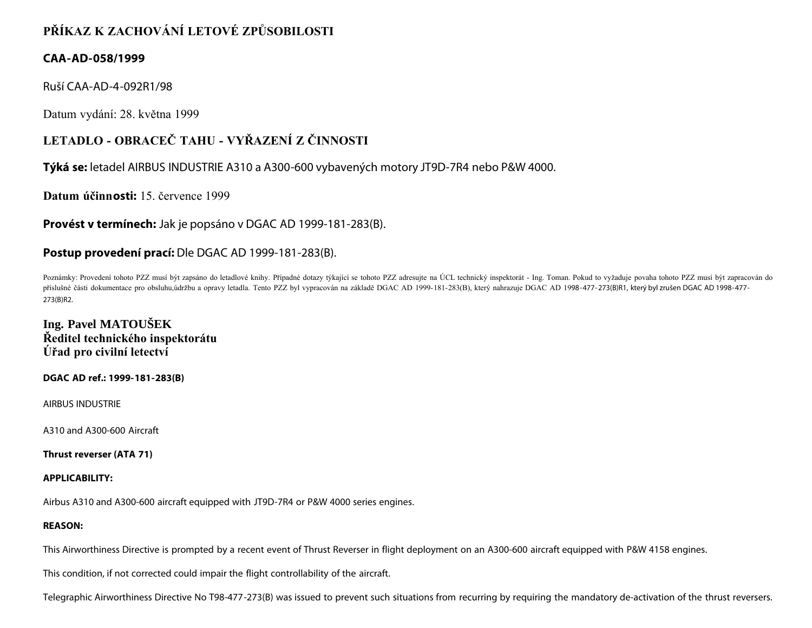# **PŘÍKAZ K ZACHOVÁNÍ LETOVÉ ZPŮSOBILOSTI**

## **CAA-AD-058/1999**

Ruší CAA-AD-4-092R1/98

Datum vydání: 28. května 1999

# **LETADLO - OBRACEČ TAHU - VYŘAZENÍ Z ČINNOSTI**

# **Týká se:** letadel AIRBUS INDUSTRIE A310 a A300-600 vybavených motory JT9D-7R4 nebo P&W 4000.

**Datum účinnosti:** 15. července 1999

**Provést v termínech:** Jak je popsáno v DGAC AD 1999-181-283(B).

# **Postup provedení prací:** Dle DGAC AD 1999-181-283(B).

Poznámky: Provedení tohoto PZZ musí být zapsáno do letadlové knihy. Případné dotazy týkající se tohoto PZZ adresujte na ÚCL technický inspektorát - Ing. Toman. Pokud to vyžaduje povaha tohoto PZZ musí být zapracován do příslušné části dokumentace pro obsluhu,údržbu a opravy letadla. Tento PZZ byl vypracován na základě DGAC AD 1999-181-283(B), který nahrazuje DGAC AD 1998-477-273(B)R1, který byl zrušen DGAC AD 1998-477-273(B)R2.

## **Ing. Pavel MATOUŠEK Ředitel technického inspektorátu Úřad pro civilní letectví**

**DGAC AD ref.: 1999-181-283(B)**

AIRBUS INDUSTRIE

A310 and A300-600 Aircraft

**Thrust reverser (ATA 71)**

## **APPLICABILITY:**

Airbus A310 and A300-600 aircraft equipped with JT9D-7R4 or P&W 4000 series engines.

## **REASON:**

This Airworthiness Directive is prompted by a recent event of Thrust Reverser in flight deployment on an A300-600 aircraft equipped with P&W 4158 engines.

This condition, if not corrected could impair the flight controllability of the aircraft.

Telegraphic Airworthiness Directive No T98-477-273(B) was issued to prevent such situations from recurring by requiring the mandatory de-activation of the thrust reversers.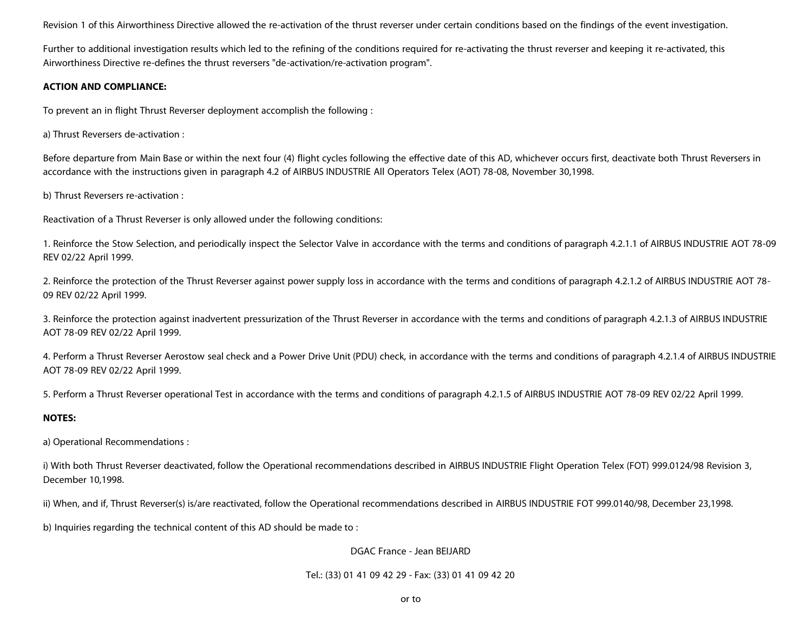Revision 1 of this Airworthiness Directive allowed the re-activation of the thrust reverser under certain conditions based on the findings of the event investigation.

Further to additional investigation results which led to the refining of the conditions required for re-activating the thrust reverser and keeping it re-activated, this Airworthiness Directive re-defines the thrust reversers "de-activation/re-activation program".

### **ACTION AND COMPLIANCE:**

To prevent an in flight Thrust Reverser deployment accomplish the following :

a) Thrust Reversers de-activation :

Before departure from Main Base or within the next four (4) flight cycles following the effective date of this AD, whichever occurs first, deactivate both Thrust Reversers in accordance with the instructions given in paragraph 4.2 of AIRBUS INDUSTRIE All Operators Telex (AOT) 78-08, November 30,1998.

b) Thrust Reversers re-activation :

Reactivation of a Thrust Reverser is only allowed under the following conditions:

1. Reinforce the Stow Selection, and periodically inspect the Selector Valve in accordance with the terms and conditions of paragraph 4.2.1.1 of AIRBUS INDUSTRIE AOT 78-09 REV 02/22 April 1999.

2. Reinforce the protection of the Thrust Reverser against power supply loss in accordance with the terms and conditions of paragraph 4.2.1.2 of AIRBUS INDUSTRIE AOT 78- 09 REV 02/22 April 1999.

3. Reinforce the protection against inadvertent pressurization of the Thrust Reverser in accordance with the terms and conditions of paragraph 4.2.1.3 of AIRBUS INDUSTRIE AOT 78-09 REV 02/22 April 1999.

4. Perform a Thrust Reverser Aerostow seal check and a Power Drive Unit (PDU) check, in accordance with the terms and conditions of paragraph 4.2.1.4 of AIRBUS INDUSTRIE AOT 78-09 REV 02/22 April 1999.

5. Perform a Thrust Reverser operational Test in accordance with the terms and conditions of paragraph 4.2.1.5 of AIRBUS INDUSTRIE AOT 78-09 REV 02/22 April 1999.

### **NOTES:**

a) Operational Recommendations :

i) With both Thrust Reverser deactivated, follow the Operational recommendations described in AIRBUS INDUSTRIE Flight Operation Telex (FOT) 999.0124/98 Revision 3, December 10,1998.

ii) When, and if, Thrust Reverser(s) is/are reactivated, follow the Operational recommendations described in AIRBUS INDUSTRIE FOT 999.0140/98, December 23,1998.

b) Inquiries regarding the technical content of this AD should be made to :

DGAC France - Jean BEIJARD

#### Tel.: (33) 01 41 09 42 29 - Fax: (33) 01 41 09 42 20